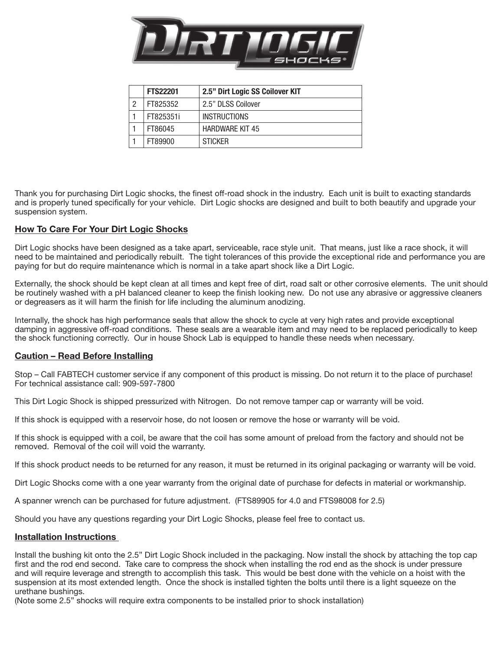

|   | <b>FTS22201</b> | 2.5" Dirt Logic SS Coilover KIT |
|---|-----------------|---------------------------------|
| 2 | FT825352        | 2.5" DLSS Coilover              |
|   | FT825351i       | <b>INSTRUCTIONS</b>             |
|   | FT86045         | <b>HARDWARE KIT 45</b>          |
|   | FT89900         | <b>STICKER</b>                  |

Thank you for purchasing Dirt Logic shocks, the finest off-road shock in the industry. Each unit is built to exacting standards and is properly tuned specifically for your vehicle. Dirt Logic shocks are designed and built to both beautify and upgrade your suspension system.

## How To Care For Your Dirt Logic Shocks

Dirt Logic shocks have been designed as a take apart, serviceable, race style unit. That means, just like a race shock, it will need to be maintained and periodically rebuilt. The tight tolerances of this provide the exceptional ride and performance you are paying for but do require maintenance which is normal in a take apart shock like a Dirt Logic.

Externally, the shock should be kept clean at all times and kept free of dirt, road salt or other corrosive elements. The unit should be routinely washed with a pH balanced cleaner to keep the finish looking new. Do not use any abrasive or aggressive cleaners or degreasers as it will harm the finish for life including the aluminum anodizing.

Internally, the shock has high performance seals that allow the shock to cycle at very high rates and provide exceptional damping in aggressive off-road conditions. These seals are a wearable item and may need to be replaced periodically to keep the shock functioning correctly. Our in house Shock Lab is equipped to handle these needs when necessary.

## Caution – Read Before Installing

Stop – Call FABTECH customer service if any component of this product is missing. Do not return it to the place of purchase! For technical assistance call: 909-597-7800

This Dirt Logic Shock is shipped pressurized with Nitrogen. Do not remove tamper cap or warranty will be void.

If this shock is equipped with a reservoir hose, do not loosen or remove the hose or warranty will be void.

If this shock is equipped with a coil, be aware that the coil has some amount of preload from the factory and should not be removed. Removal of the coil will void the warranty.

If this shock product needs to be returned for any reason, it must be returned in its original packaging or warranty will be void.

Dirt Logic Shocks come with a one year warranty from the original date of purchase for defects in material or workmanship.

A spanner wrench can be purchased for future adjustment. (FTS89905 for 4.0 and FTS98008 for 2.5)

Should you have any questions regarding your Dirt Logic Shocks, please feel free to contact us.

## Installation Instructions

Install the bushing kit onto the 2.5" Dirt Logic Shock included in the packaging. Now install the shock by attaching the top cap first and the rod end second. Take care to compress the shock when installing the rod end as the shock is under pressure and will require leverage and strength to accomplish this task. This would be best done with the vehicle on a hoist with the suspension at its most extended length. Once the shock is installed tighten the bolts until there is a light squeeze on the urethane bushings.

(Note some 2.5" shocks will require extra components to be installed prior to shock installation)